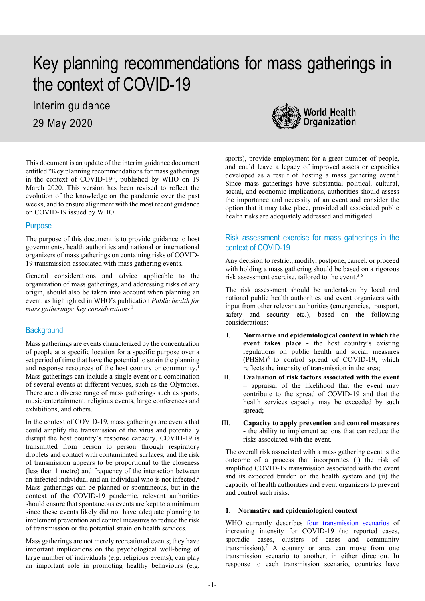# Key planning recommendations for mass gatherings in the context of COVID-19

Interim guidance 29 May 2020



This document is an update of the interim guidance document entitled "Key planning recommendations for mass gatherings in the context of COVID-19", published by WHO on 19 March 2020. This version has been revised to reflect the evolution of the knowledge on the pandemic over the past weeks, and to ensure alignment with the most recent guidance on COVID-19 issued by WHO.

#### **Purpose**

The purpose of this document is to provide guidance to host governments, health authorities and national or international organizers of mass gatherings on containing risks of COVID-19 transmission associated with mass gathering events.

General considerations and advice applicable to the organization of mass gatherings, and addressing risks of any origin, should also be taken into account when planning an event, as highlighted in WHO's publication *Public health for mass gatherings: key considerations* <sup>1</sup>

# **Background**

Mass gatherings are events characterized by the concentration of people at a specific location for a specific purpose over a set period of time that have the potential to strain the planning and response resources of the host country or community.1 Mass gatherings can include a single event or a combination of several events at different venues, such as the Olympics. There are a diverse range of mass gatherings such as sports, music/entertainment, religious events, large conferences and exhibitions, and others.

In the context of COVID-19, mass gatherings are events that could amplify the transmission of the virus and potentially disrupt the host country's response capacity. COVID-19 is transmitted from person to person through respiratory droplets and contact with contaminated surfaces, and the risk of transmission appears to be proportional to the closeness (less than 1 metre) and frequency of the interaction between an infected individual and an individual who is not infected.2 Mass gatherings can be planned or spontaneous, but in the context of the COVID-19 pandemic, relevant authorities should ensure that spontaneous events are kept to a minimum since these events likely did not have adequate planning to implement prevention and control measures to reduce the risk of transmission or the potential strain on health services.

Mass gatherings are not merely recreational events; they have important implications on the psychological well-being of large number of individuals (e.g. religious events), can play an important role in promoting healthy behaviours (e.g.

sports), provide employment for a great number of people, and could leave a legacy of improved assets or capacities developed as a result of hosting a mass gathering event. 1 Since mass gatherings have substantial political, cultural, social, and economic implications, authorities should assess the importance and necessity of an event and consider the option that it may take place, provided all associated public health risks are adequately addressed and mitigated.

# Risk assessment exercise for mass gatherings in the context of COVID-19

Any decision to restrict, modify, postpone, cancel, or proceed with holding a mass gathering should be based on a rigorous risk assessment exercise, tailored to the event.<sup>3-5</sup>

The risk assessment should be undertaken by local and national public health authorities and event organizers with input from other relevant authorities (emergencies, transport, safety and security etc.), based on the following considerations:

- I. **Normative and epidemiological context in which the event takes place -** the host country's existing regulations on public health and social measures  $(PHSM)^6$  to control spread of COVID-19, which reflects the intensity of transmission in the area;
- II. **Evaluation of risk factors associated with the event**  – appraisal of the likelihood that the event may contribute to the spread of COVID-19 and that the health services capacity may be exceeded by such spread;
- III. **Capacity to apply prevention and control measures -** the ability to implement actions that can reduce the risks associated with the event.

The overall risk associated with a mass gathering event is the outcome of a process that incorporates (i) the risk of amplified COVID-19 transmission associated with the event and its expected burden on the health system and (ii) the capacity of health authorities and event organizers to prevent and control such risks.

## **1. Normative and epidemiological context**

WHO currently describes [four transmission scenarios](https://www.who.int/publications-detail/critical-preparedness-readiness-and-response-actions-for-covid-19) of increasing intensity for COVID-19 (no reported cases, sporadic cases, clusters of cases and community transmission).<sup>7</sup> A country or area can move from one transmission scenario to another, in either direction. In response to each transmission scenario, countries have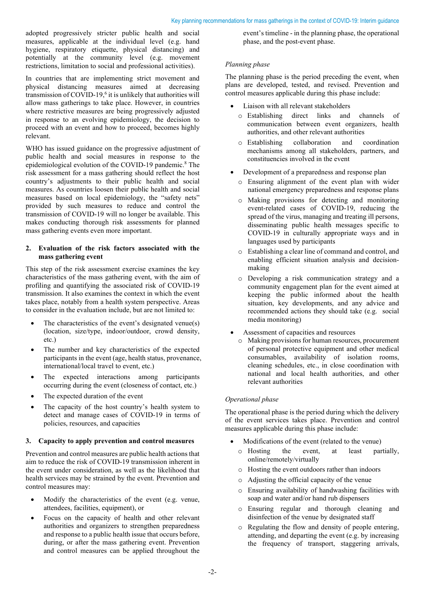adopted progressively stricter public health and social measures, applicable at the individual level (e.g. hand hygiene, respiratory etiquette, physical distancing) and potentially at the community level (e.g. movement restrictions, limitation to social and professional activities).

In countries that are implementing strict movement and physical distancing measures aimed at decreasing transmission of COVID-19,6 it is unlikely that authorities will allow mass gatherings to take place. However, in countries where restrictive measures are being progressively adjusted in response to an evolving epidemiology, the decision to proceed with an event and how to proceed, becomes highly relevant.

WHO has issued guidance on the progressive adjustment of public health and social measures in response to the epidemiological evolution of the COVID-19 pandemic.<sup>8</sup> The risk assessment for a mass gathering should reflect the host country's adjustments to their public health and social measures. As countries loosen their public health and social measures based on local epidemiology, the "safety nets" provided by such measures to reduce and control the transmission of COVID-19 will no longer be available. This makes conducting thorough risk assessments for planned mass gathering events even more important.

#### **2. Evaluation of the risk factors associated with the mass gathering event**

This step of the risk assessment exercise examines the key characteristics of the mass gathering event, with the aim of profiling and quantifying the associated risk of COVID-19 transmission. It also examines the context in which the event takes place, notably from a health system perspective. Areas to consider in the evaluation include, but are not limited to:

- The characteristics of the event's designated venue(s) (location, size/type, indoor/outdoor, crowd density, etc.)
- The number and key characteristics of the expected participants in the event (age, health status, provenance, international/local travel to event, etc.)
- The expected interactions among participants occurring during the event (closeness of contact, etc.)
- The expected duration of the event
- The capacity of the host country's health system to detect and manage cases of COVID-19 in terms of policies, resources, and capacities

#### **3. Capacity to apply prevention and control measures**

Prevention and control measures are public health actions that aim to reduce the risk of COVID-19 transmission inherent in the event under consideration, as well as the likelihood that health services may be strained by the event. Prevention and control measures may:

- Modify the characteristics of the event (e.g. venue, attendees, facilities, equipment), or
- Focus on the capacity of health and other relevant authorities and organizers to strengthen preparedness and response to a public health issue that occurs before, during, or after the mass gathering event. Prevention and control measures can be applied throughout the

event's timeline - in the planning phase, the operational phase, and the post-event phase.

#### *Planning phase*

The planning phase is the period preceding the event, when plans are developed, tested, and revised. Prevention and control measures applicable during this phase include:

- Liaison with all relevant stakeholders
	- o Establishing direct links and channels of communication between event organizers, health authorities, and other relevant authorities
	- o Establishing collaboration and coordination mechanisms among all stakeholders, partners, and constituencies involved in the event
- Development of a preparedness and response plan
	- o Ensuring alignment of the event plan with wider national emergency preparedness and response plans
	- o Making provisions for detecting and monitoring event-related cases of COVID-19, reducing the spread of the virus, managing and treating ill persons, disseminating public health messages specific to COVID-19 in culturally appropriate ways and in languages used by participants
	- o Establishing a clear line of command and control, and enabling efficient situation analysis and decisionmaking
	- o Developing a risk communication strategy and a community engagement plan for the event aimed at keeping the public informed about the health situation, key developments, and any advice and recommended actions they should take (e.g. social media monitoring)
- Assessment of capacities and resources
	- o Making provisions for human resources, procurement of personal protective equipment and other medical consumables, availability of isolation rooms, cleaning schedules, etc., in close coordination with national and local health authorities, and other relevant authorities

## *Operational phase*

The operational phase is the period during which the delivery of the event services takes place. Prevention and control measures applicable during this phase include:

- Modifications of the event (related to the venue)
	- o Hosting the event, at least partially, online/remotely/virtually
	- o Hosting the event outdoors rather than indoors
	- o Adjusting the official capacity of the venue
	- o Ensuring availability of handwashing facilities with soap and water and/or hand rub dispensers
	- o Ensuring regular and thorough cleaning and disinfection of the venue by designated staff
	- o Regulating the flow and density of people entering, attending, and departing the event (e.g. by increasing the frequency of transport, staggering arrivals,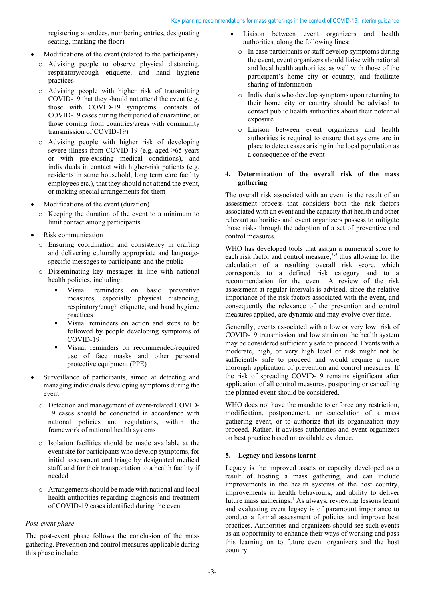registering attendees, numbering entries, designating seating, marking the floor)

- Modifications of the event (related to the participants)
	- o Advising people to observe physical distancing, respiratory/cough etiquette, and hand hygiene practices
	- o Advising people with higher risk of transmitting COVID-19 that they should not attend the event (e.g. those with COVID-19 symptoms, contacts of COVID-19 cases during their period of quarantine, or those coming from countries/areas with community transmission of COVID-19)
	- o Advising people with higher risk of developing severe illness from COVID-19 (e.g. aged  $\geq 65$  years or with pre-existing medical conditions), and individuals in contact with higher-risk patients (e.g. residents in same household, long term care facility employees etc.), that they should not attend the event, or making special arrangements for them
- Modifications of the event (duration)
	- o Keeping the duration of the event to a minimum to limit contact among participants
- Risk communication
	- o Ensuring coordination and consistency in crafting and delivering culturally appropriate and languagespecific messages to participants and the public
	- o Disseminating key messages in line with national health policies, including:
		- Visual reminders on basic preventive measures, especially physical distancing, respiratory/cough etiquette, and hand hygiene practices
		- Visual reminders on action and steps to be followed by people developing symptoms of COVID-19
		- Visual reminders on recommended/required use of face masks and other personal protective equipment (PPE)
- Surveillance of participants, aimed at detecting and managing individuals developing symptoms during the event
	- o Detection and management of event-related COVID-19 cases should be conducted in accordance with national policies and regulations, within the framework of national health systems
	- o Isolation facilities should be made available at the event site for participants who develop symptoms, for initial assessment and triage by designated medical staff, and for their transportation to a health facility if needed
	- o Arrangements should be made with national and local health authorities regarding diagnosis and treatment of COVID-19 cases identified during the event

## *Post-event phase*

The post-event phase follows the conclusion of the mass gathering. Prevention and control measures applicable during this phase include:

- Liaison between event organizers and health authorities, along the following lines:
- o In case participants or staff develop symptoms during the event, event organizers should liaise with national and local health authorities, as well with those of the participant's home city or country, and facilitate sharing of information
- o Individuals who develop symptoms upon returning to their home city or country should be advised to contact public health authorities about their potential exposure
- o Liaison between event organizers and health authorities is required to ensure that systems are in place to detect cases arising in the local population as a consequence of the event

#### **4. Determination of the overall risk of the mass gathering**

The overall risk associated with an event is the result of an assessment process that considers both the risk factors associated with an event and the capacity that health and other relevant authorities and event organizers possess to mitigate those risks through the adoption of a set of preventive and control measures.

WHO has developed tools that assign a numerical score to  $\frac{1}{2}$  risk factor and control measure,<sup>3-5</sup> thus allowing for the calculation of a resulting overall risk score, which corresponds to a defined risk category and to a recommendation for the event. A review of the risk assessment at regular intervals is advised, since the relative importance of the risk factors associated with the event, and consequently the relevance of the prevention and control measures applied, are dynamic and may evolve over time.

Generally, events associated with a low or very low risk of COVID-19 transmission and low strain on the health system may be considered sufficiently safe to proceed. Events with a moderate, high, or very high level of risk might not be sufficiently safe to proceed and would require a more thorough application of prevention and control measures. If the risk of spreading COVID-19 remains significant after application of all control measures, postponing or cancelling the planned event should be considered.

WHO does not have the mandate to enforce any restriction, modification, postponement, or cancelation of a mass gathering event, or to authorize that its organization may proceed. Rather, it advises authorities and event organizers on best practice based on available evidence.

## **5. Legacy and lessons learnt**

Legacy is the improved assets or capacity developed as a result of hosting a mass gathering, and can include improvements in the health systems of the host country, improvements in health behaviours, and ability to deliver future mass gatherings.<sup>1</sup> As always, reviewing lessons learnt and evaluating event legacy is of paramount importance to conduct a formal assessment of policies and improve best practices. Authorities and organizers should see such events as an opportunity to enhance their ways of working and pass this learning on to future event organizers and the host country.